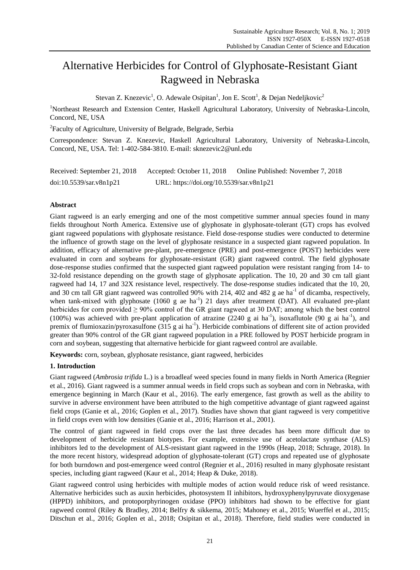# Alternative Herbicides for Control of Glyphosate-Resistant Giant Ragweed in Nebraska

Stevan Z. Knezevic<sup>1</sup>, O. Adewale Osipitan<sup>1</sup>, Jon E. Scott<sup>1</sup>, & Dejan Nedeljkovic<sup>2</sup>

<sup>1</sup>Northeast Research and Extension Center, Haskell Agricultural Laboratory, University of Nebraska-Lincoln, Concord, NE, USA

<sup>2</sup> Faculty of Agriculture, University of Belgrade, Belgrade, Serbia

Correspondence: Stevan Z. Knezevic, Haskell Agricultural Laboratory, University of Nebraska-Lincoln, Concord, NE, USA. Tel: 1-402-584-3810. E-mail: sknezevic2@unl.edu

| Received: September 21, 2018 | Accepted: October 11, 2018               | Online Published: November 7, 2018 |
|------------------------------|------------------------------------------|------------------------------------|
| doi:10.5539/sar.v8n1p21      | URL: https://doi.org/10.5539/sar.v8n1p21 |                                    |

# **Abstract**

Giant ragweed is an early emerging and one of the most competitive summer annual species found in many fields throughout North America. Extensive use of glyphosate in glyphosate-tolerant (GT) crops has evolved giant ragweed populations with glyphosate resistance. Field dose-response studies were conducted to determine the influence of growth stage on the level of glyphosate resistance in a suspected giant ragweed population. In addition, efficacy of alternative pre-plant, pre-emergence (PRE) and post-emergence (POST) herbicides were evaluated in corn and soybeans for glyphosate-resistant (GR) giant ragweed control. The field glyphosate dose-response studies confirmed that the suspected giant ragweed population were resistant ranging from 14- to 32-fold resistance depending on the growth stage of glyphosate application. The 10, 20 and 30 cm tall giant ragweed had 14, 17 and 32X resistance level, respectively. The dose-response studies indicated that the 10, 20, and 30 cm tall GR giant ragweed was controlled 90% with 214, 402 and 482 g ae ha<sup>-1</sup> of dicamba, respectively, when tank-mixed with glyphosate  $(1060 \text{ g}$  ae ha<sup>-1</sup>) 21 days after treatment (DAT). All evaluated pre-plant herbicides for corn provided  $\geq 90\%$  control of the GR giant ragweed at 30 DAT; among which the best control (100%) was achieved with pre-plant application of atrazine (2240 g ai ha<sup>-1</sup>), isoxaflutole (90 g ai ha<sup>-1</sup>), and premix of flumioxazin/pyroxasulfone (315 g ai ha<sup>-1</sup>). Herbicide combinations of different site of action provided greater than 90% control of the GR giant ragweed population in a PRE followed by POST herbicide program in corn and soybean, suggesting that alternative herbicide for giant ragweed control are available.

**Keywords:** corn, soybean, glyphosate resistance, giant ragweed, herbicides

# **1. Introduction**

Giant ragweed (*Ambrosia trifida* L.) is a broadleaf weed species found in many fields in North America (Regnier et al., 2016). Giant ragweed is a summer annual weeds in field crops such as soybean and corn in Nebraska, with emergence beginning in March (Kaur et al., 2016). The early emergence, fast growth as well as the ability to survive in adverse environment have been attributed to the high competitive advantage of giant ragweed against field crops (Ganie et al., 2016; Goplen et al., 2017). Studies have shown that giant ragweed is very competitive in field crops even with low densities (Ganie et al., 2016; Harrison et al., 2001).

The control of giant ragweed in field crops over the last three decades has been more difficult due to development of herbicide resistant biotypes. For example, extensive use of acetolactate synthase (ALS) inhibitors led to the development of ALS-resistant giant ragweed in the 1990s (Heap, 2018; Schrage, 2018). In the more recent history, widespread adoption of glyphosate-tolerant (GT) crops and repeated use of glyphosate for both burndown and post-emergence weed control (Regnier et al., 2016) resulted in many glyphosate resistant species, including giant ragweed (Kaur et al., 2014; Heap & Duke, 2018).

Giant ragweed control using herbicides with multiple modes of action would reduce risk of weed resistance. Alternative herbicides such as auxin herbicides, photosystem II inhibitors, hydroxyphenylpyruvate dioxygenase (HPPD) inhibitors, and protoporphyrinogen oxidase (PPO) inhibitors had shown to be effective for giant ragweed control (Riley & Bradley, 2014; Belfry & sikkema, 2015; Mahoney et al., 2015; Wuerffel et al., 2015; Ditschun et al., 2016; Goplen et al., 2018; Osipitan et al., 2018). Therefore, field studies were conducted in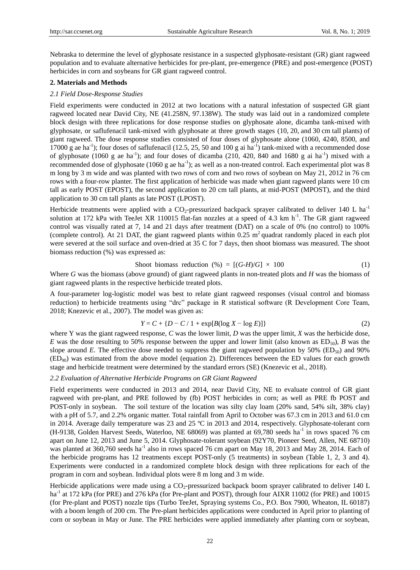Nebraska to determine the level of glyphosate resistance in a suspected glyphosate-resistant (GR) giant ragweed population and to evaluate alternative herbicides for pre-plant, pre-emergence (PRE) and post-emergence (POST) herbicides in corn and soybeans for GR giant ragweed control.

# **2. Materials and Methods**

# *2.1 Field Dose-Response Studies*

Field experiments were conducted in 2012 at two locations with a natural infestation of suspected GR giant ragweed located near David City, NE (41.258N, 97.138W). The study was laid out in a randomized complete block design with three replications for dose response studies on glyphosate alone, dicamba tank-mixed with glyphosate, or saflufenacil tank-mixed with glyphosate at three growth stages (10, 20, and 30 cm tall plants) of giant ragweed. The dose response studies consisted of four doses of glyphosate alone (1060, 4240, 8500, and 17000 g ae ha<sup>-1</sup>); four doses of saflufenacil (12.5, 25, 50 and 100 g ai ha<sup>-1</sup>) tank-mixed with a recommended dose of glyphosate (1060 g ae ha<sup>-1</sup>); and four doses of dicamba (210, 420, 840 and 1680 g ai ha<sup>-1</sup>) mixed with a recommended dose of glyphosate  $(1060 \text{ g}$  ae ha<sup>-1</sup>); as well as a non-treated control. Each experimental plot was 8 m long by 3 m wide and was planted with two rows of corn and two rows of soybean on May 21, 2012 in 76 cm rows with a four-row planter. The first application of herbicide was made when giant ragweed plants were 10 cm tall as early POST (EPOST), the second application to 20 cm tall plants, at mid-POST (MPOST), and the third application to 30 cm tall plants as late POST (LPOST).

Herbicide treatments were applied with a  $CO_2$ -pressurized backpack sprayer calibrated to deliver 140 L ha<sup>-1</sup> solution at 172 kPa with TeeJet XR 110015 flat-fan nozzles at a speed of 4.3 km  $h^{-1}$ . The GR giant ragweed control was visually rated at 7, 14 and 21 days after treatment (DAT) on a scale of 0% (no control) to 100% (complete control). At 21 DAT, the giant ragweed plants within 0.25  $\text{m}^2$  quadrat randomly placed in each plot were severed at the soil surface and oven-dried at 35 C for 7 days, then shoot biomass was measured. The shoot biomass reduction (%) was expressed as:

$$
Show to to to be a reduction (%) = [(G-H)/G] \times 100
$$
 (1)

Where *G* was the biomass (above ground) of giant ragweed plants in non-treated plots and *H* was the biomass of giant ragweed plants in the respective herbicide treated plots.

A four-parameter log-logistic model was best to relate giant ragweed responses (visual control and biomass reduction) to herbicide treatments using "drc" package in R statistical software (R Development Core Team, 2018; Knezevic et al., 2007). The model was given as:

$$
Y = C + \{D - C / 1 + \exp[B(\log X - \log E)]\}
$$
 (2)

where Y was the giant ragweed response, *C* was the lower limit, *D* was the upper limit, *X* was the herbicide dose, *E* was the dose resulting to 50% response between the upper and lower limit (also known as  $ED_{50}$ ), *B* was the slope around *E*. The effective dose needed to suppress the giant ragweed population by 50% (ED<sub>50</sub>) and 90%  $(ED_{90})$  was estimated from the above model (equation 2). Differences between the ED values for each growth stage and herbicide treatment were determined by the standard errors (SE) (Knezevic et al., 2018).

# *2.2 Evaluation of Alternative Herbicide Programs on GR Giant Ragweed*

Field experiments were conducted in 2013 and 2014, near David City, NE to evaluate control of GR giant ragweed with pre-plant, and PRE followed by (fb) POST herbicides in corn; as well as PRE fb POST and POST-only in soybean. The soil texture of the location was silty clay loam (20% sand, 54% silt, 38% clay) with a pH of 5.7, and 2.2% organic matter. Total rainfall from April to October was 67.3 cm in 2013 and 61.0 cm in 2014. Average daily temperature was 23 and 25 °C in 2013 and 2014, respectively. Glyphosate-tolerant corn (H-9138, Golden Harvest Seeds, Waterloo, NE 68069) was planted at 69,780 seeds ha<sup>-1</sup> in rows spaced 76 cm apart on June 12, 2013 and June 5, 2014. Glyphosate-tolerant soybean (92Y70, Pioneer Seed, Allen, NE 68710) was planted at 360,760 seeds ha<sup>-1</sup> also in rows spaced 76 cm apart on May 18, 2013 and May 28, 2014. Each of the herbicide programs has 12 treatments except POST-only (5 treatments) in soybean (Table 1, 2, 3 and 4). Experiments were conducted in a randomized complete block design with three replications for each of the program in corn and soybean. Individual plots were 8 m long and 3 m wide.

Herbicide applications were made using a  $CO<sub>2</sub>$ -pressurized backpack boom sprayer calibrated to deliver 140 L ha<sup>-1</sup> at 172 kPa (for PRE) and 276 kPa (for Pre-plant and POST), through four AIXR 11002 (for PRE) and 10015 (for Pre-plant and POST) nozzle tips (Turbo TeeJet, Spraying systems Co., P.O. Box 7900, Wheaton, IL 60187) with a boom length of 200 cm. The Pre-plant herbicides applications were conducted in April prior to planting of corn or soybean in May or June. The PRE herbicides were applied immediately after planting corn or soybean,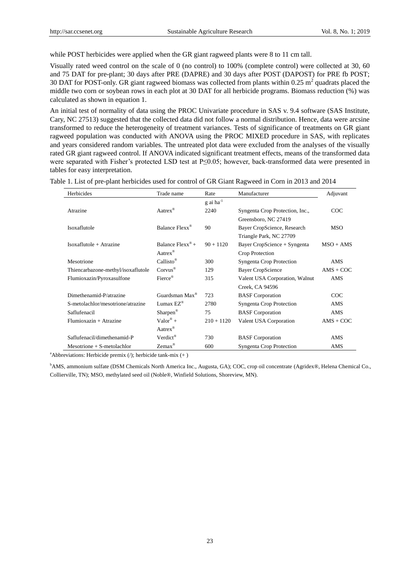while POST herbicides were applied when the GR giant ragweed plants were 8 to 11 cm tall.

Visually rated weed control on the scale of 0 (no control) to 100% (complete control) were collected at 30, 60 and 75 DAT for pre-plant; 30 days after PRE (DAPRE) and 30 days after POST (DAPOST) for PRE fb POST; 30 DAT for POST-only. GR giant ragweed biomass was collected from plants within  $0.25 \text{ m}^2$  quadrats placed the middle two corn or soybean rows in each plot at 30 DAT for all herbicide programs. Biomass reduction (%) was calculated as shown in equation 1.

An initial test of normality of data using the PROC Univariate procedure in SAS v. 9.4 software (SAS Institute, Cary, NC 27513) suggested that the collected data did not follow a normal distribution. Hence, data were arcsine transformed to reduce the heterogeneity of treatment variances. Tests of significance of treatments on GR giant ragweed population was conducted with ANOVA using the PROC MIXED procedure in SAS, with replicates and years considered random variables. The untreated plot data were excluded from the analyses of the visually rated GR giant ragweed control. If ANOVA indicated significant treatment effects, means of the transformed data were separated with Fisher's protected LSD test at P≤0.05; however, back-transformed data were presented in tables for easy interpretation.

| Herbicides                         | Trade name                      | Rate                    | Manufacturer                    | Adjuvant    |
|------------------------------------|---------------------------------|-------------------------|---------------------------------|-------------|
|                                    |                                 | $g$ ai ha <sup>-1</sup> |                                 |             |
| Atrazine                           | Aatrex®                         | 2240                    | Syngenta Crop Protection, Inc., | COC         |
|                                    |                                 |                         | Greensboro, NC 27419            |             |
| Isoxaflutole                       | Balance Flexx <sup>®</sup>      | 90                      | Bayer CropScience, Research     | <b>MSO</b>  |
|                                    |                                 |                         | Triangle Park, NC 27709         |             |
| $Isoxaflutole + Atrazine$          | Balance $Flexx^{\circledast} +$ | $90 + 1120$             | Bayer CropScience + Syngenta    | $MSO + AMS$ |
|                                    | Aatrex®                         |                         | Crop Protection                 |             |
| Mesotrione                         | Callisto <sup>®</sup>           | 300                     | Syngenta Crop Protection        | <b>AMS</b>  |
| Thiencarbazone-methyl/isoxaflutole | $Corvus^{\circledR}$            | 129                     | <b>Bayer CropScience</b>        | $AMS + COC$ |
| Flumioxazin/Pyroxasulfone          | Fierce®                         | 315                     | Valent USA Corporation, Walnut  | AMS         |
|                                    |                                 |                         | Creek, CA 94596                 |             |
| Dimethenamid-P/atrazine            | Guardsman Max <sup>®</sup>      | 723                     | <b>BASF</b> Corporation         | COC         |
| S-metolachlor/mesotrione/atrazine  | Lumax $EZ^{\circledR}$          | 2780                    | Syngenta Crop Protection        | AMS         |
| Saflufenacil                       | Sharpen <sup>®</sup>            | 75                      | <b>BASF</b> Corporation         | AMS         |
| $Flumioxazin + Atrazine$           | $Valor^{\otimes} +$             | $210 + 1120$            | Valent USA Corporation          | $AMS + COC$ |
|                                    | Aatrex®                         |                         |                                 |             |
| Saflufenacil/dimethenamid-P        | Verdict <sup>®</sup>            | 730                     | <b>BASF</b> Corporation         | <b>AMS</b>  |
| $Mesotrione + S-metolachlor$       | $Zemax^@$                       | 600                     | <b>Syngenta Crop Protection</b> | AMS         |

Table 1. List of pre-plant herbicides used for control of GR Giant Ragweed in Corn in 2013 and 2014

<sup>a</sup>Abbreviations: Herbicide premix  $($ *)*; herbicide tank-mix  $(+)$ 

<sup>b</sup>AMS, ammonium sulfate (DSM Chemicals North America Inc., Augusta, GA); COC, crop oil concentrate (Agridex®, Helena Chemical Co., Collierville, TN); MSO, methylated seed oil (Noble®, Winfield Solutions, Shoreview, MN).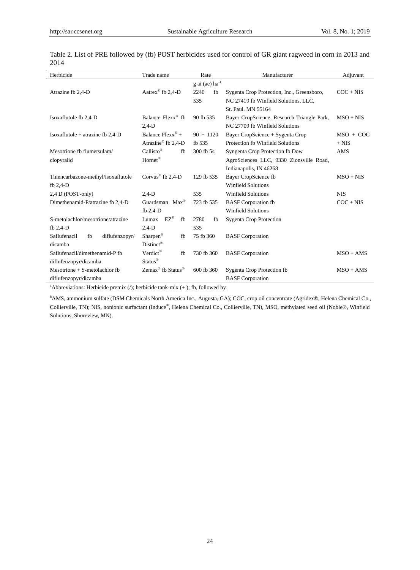$\overline{a}$ 

| Herbicide                            | Trade name                                | Rate                              | Manufacturer                               | Adjuvant    |
|--------------------------------------|-------------------------------------------|-----------------------------------|--------------------------------------------|-------------|
|                                      |                                           | g ai (ae) $\mathrm{ha}^\text{-1}$ |                                            |             |
| Atrazine fb 2,4-D                    | Aatrex <sup>®</sup> fb 2,4-D              | 2240<br>fb                        | Sygenta Crop Protection, Inc., Greensboro, | $COC + NIS$ |
|                                      |                                           | 535                               | NC 27419 fb Winfield Solutions, LLC,       |             |
|                                      |                                           |                                   | St. Paul, MN 55164                         |             |
| Isoxaflutole fb 2,4-D                | Balance Flexx <sup>®</sup> fb             | 90 fb 535                         | Bayer CropScience, Research Triangle Park, | $MSO + NIS$ |
|                                      | $2,4-D$                                   |                                   | NC 27709 fb Winfield Solutions             |             |
| Isoxaflutole + atrazine fb $2,4$ -D  | Balance $Flexx^{\circledast}$ +           | $90 + 1120$                       | Bayer CropScience + Sygenta Crop           | $MSO + COC$ |
|                                      | Atrazine® fb 2.4-D                        | fb 535                            | Protection fb Winfield Solutions           | $+ NIS$     |
| Mesotrione fb flumetsulam/           | $Callisto^{\circledR}$<br>fb              | 300 fb 54                         | Syngenta Crop Protection fb Dow            | AMS         |
| clopyralid                           | Hornet <sup>®</sup>                       |                                   | AgroSciences LLC, 9330 Zionsville Road,    |             |
|                                      |                                           |                                   | Indianapolis, IN 46268                     |             |
| Thiencarbazone-methyl/isoxaflutole   | Corvus <sup>®</sup> fb 2.4-D              | 129 fb 535                        | Bayer CropScience fb                       | $MSO + NIS$ |
| fb $2,4-D$                           |                                           |                                   | <b>Winfield Solutions</b>                  |             |
| 2,4 D (POST-only)                    | $2,4-D$                                   | 535                               | <b>Winfield Solutions</b>                  | <b>NIS</b>  |
| Dimethenamid-P/atrazine fb 2,4-D     | Guardsman Max <sup>®</sup>                | 723 fb 535                        | <b>BASF</b> Corporation fb                 | $COC + NIS$ |
|                                      | fb $2,4-D$                                |                                   | Winfield Solutions                         |             |
| S-metolachlor/mesotrione/atrazine    | Lumax $EZ^{\circledR}$<br>fb              | 2780<br>fb                        | <b>Sygenta Crop Protection</b>             |             |
| fb 2,4-D                             | $2,4-D$                                   | 535                               |                                            |             |
| Saflufenacil<br>fb<br>diflufenzopyr/ | Sharpen®<br>fb                            | 75 fb 360                         | <b>BASF</b> Corporation                    |             |
| dicamba                              | $Distinct^{\circledR}$                    |                                   |                                            |             |
| Saflufenacil/dimethenamid-P fb       | Verdict®<br>fb                            | 730 fb 360                        | <b>BASF</b> Corporation                    | $MSO + AMS$ |
| diflufenzopyr/dicamba                | Status <sup>®</sup>                       |                                   |                                            |             |
| Mesotrione $+$ S-metolachlor fb      | Zemax <sup>®</sup> fb Status <sup>®</sup> | $600$ fb $360$                    | Sygenta Crop Protection fb                 | $MSO + AMS$ |
| diflufenzopyr/dicamba                |                                           |                                   | <b>BASF</b> Corporation                    |             |

Table 2. List of PRE followed by (fb) POST herbicides used for control of GR giant ragweed in corn in 2013 and 2014

<sup>a</sup>Abbreviations: Herbicide premix (/); herbicide tank-mix (+ ); fb, followed by.

<sup>b</sup>AMS, ammonium sulfate (DSM Chemicals North America Inc., Augusta, GA); COC, crop oil concentrate (Agridex®, Helena Chemical Co., Collierville, TN); NIS, nonionic surfactant (Induce® , Helena Chemical Co., Collierville, TN), MSO, methylated seed oil (Noble®, Winfield Solutions, Shoreview, MN).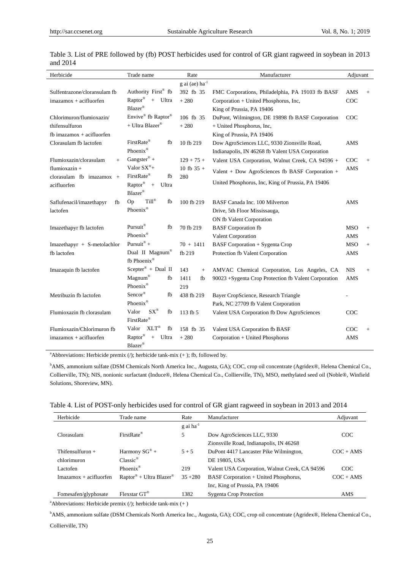| Herbicide                      | Trade name                                    | Rate                       | Manufacturer                                          | Adjuvant   |        |
|--------------------------------|-----------------------------------------------|----------------------------|-------------------------------------------------------|------------|--------|
|                                |                                               | g ai (ae) ha <sup>-1</sup> |                                                       |            |        |
| Sulfentrazone/cloransulam fb   | Authority First® fb                           | 392 fb 35                  | FMC Corporations, Philadelphia, PA 19103 fb BASF      | AMS        | $^{+}$ |
| $imazamos + acifluorfen$       | Raptor®<br>+ Ultra                            | $+280$                     | Corporation + United Phosphorus, Inc,                 | COC        |        |
|                                | Blazer®                                       |                            | King of Prussia, PA 19406                             |            |        |
| Chlorimuron/flumioxazin/       | Envive® fb Raptor®                            | 106 fb 35                  | DuPont, Wilmington, DE 19898 fb BASF Corporation      | COC        |        |
| thifensulfuron                 | + Ultra Blazer®                               | $+280$                     | + United Phosphorus, Inc,                             |            |        |
| fb imazamox $+$ acifluorfen    |                                               |                            | King of Prussia, PA 19406                             |            |        |
| Clorasulam fb lactofen         | FirstRate®<br>fb                              | 10 fb 219                  | Dow AgroSciences LLC, 9330 Zionsville Road,           | AMS        |        |
|                                | Phoenix®                                      |                            | Indianapolis, IN 46268 fb Valent USA Corporation      |            |        |
| Flumioxazin/clorasulam<br>$+$  | Gangster <sup>®</sup> +                       | $129 + 75 +$               | Valent USA Corporation, Walnut Creek, CA 94596 +      | COC        | $+$    |
| flumioxazin +                  | Valor $SX^{\circledR}+$                       | 10 fb $35 +$               | Valent + Dow AgroSciences fb BASF Corporation +       | AMS        |        |
| clorasulam fb imazamox $+$     | FirstRate®<br>fb                              | 280                        |                                                       |            |        |
| acifluorfen                    | $\mathrm{Raptor}^\circledast$<br>$+$<br>Ultra |                            | United Phosphorus, Inc. King of Prussia, PA 19406     |            |        |
|                                | Blazer®                                       |                            |                                                       |            |        |
| Saflufenacil/imazethapyr<br>fb | Till®<br>Op<br>fb                             | 100 fb 219                 | BASF Canada Inc. 100 Milverton                        | AMS        |        |
| lactofen                       | Phoenix®                                      |                            | Drive, 5th Floor Mississauga,                         |            |        |
|                                |                                               |                            | ON fb Valent Corporation                              |            |        |
| Imazethapyr fb lactofen        | Pursuit®<br>fb                                | 70 fb 219                  | <b>BASF</b> Corporation fb                            | <b>MSO</b> | $+$    |
|                                | Phoenix <sup>®</sup>                          |                            | Valent Corporation                                    | AMS        |        |
| $Imazethapyr + S-metolachlor$  | Pursuit® +                                    | $70 + 1411$                | <b>BASF</b> Corporation + Sygenta Crop                | <b>MSO</b> | $+$    |
| fb lactofen                    | Dual II Magnum®                               | fb 219                     | Protection fb Valent Corporation                      | AMS        |        |
|                                | fb Phoenix®                                   |                            |                                                       |            |        |
| Imazaquin fb lactofen          | $Scepter® + Dual II$                          | 143<br>$+$                 | AMVAC Chemical Corporation, Los Angeles, CA           | <b>NIS</b> | $+$    |
|                                | Magnum®<br>fb                                 | 1411<br>fb                 | 90023 + Sygenta Crop Protection fb Valent Corporation | AMS        |        |
|                                | Phoenix <sup>®</sup>                          | 219                        |                                                       |            |        |
| Metribuzin fb lactofen         | Sencor®<br>fb                                 | 438 fb 219                 | Bayer CropScience, Research Triangle                  |            |        |
|                                | Phoenix®                                      |                            | Park, NC 27709 fb Valent Corporation                  |            |        |
| Flumioxazin fb clorasulam      | $SX^{\circledR}$<br>Valor<br>fb               | 113 fb 5                   | Valent USA Corporation fb Dow AgroSciences            | COC        |        |
|                                | FirstRate®                                    |                            |                                                       |            |        |
| Flumioxazin/Chlorimuron fb     | $XLT^{\circledR}$<br>Valor<br>fb              | 158 fb 35                  | Valent USA Corporation fb BASF                        | COC        | $+$    |
| imazamox + acifluorfen         | $\mathrm{Raptor}^\circledR$<br>$\pm$<br>Ultra | $+280$                     | Corporation + United Phosphorus                       | AMS        |        |
|                                | Blazer®                                       |                            |                                                       |            |        |

Table 3. List of PRE followed by (fb) POST herbicides used for control of GR giant ragweed in soybean in 2013 and 2014

<sup>a</sup>Abbreviations: Herbicide premix  $($ *)*; herbicide tank-mix  $(+)$ ; fb, followed by.

<sup>b</sup>AMS, ammonium sulfate (DSM Chemicals North America Inc., Augusta, GA); COC, crop oil concentrate (Agridex®, Helena Chemical Co., Collierville, TN); NIS, nonionic surfactant (Induce®, Helena Chemical Co., Collierville, TN), MSO, methylated seed oil (Noble®, Winfield Solutions, Shoreview, MN).

| Table 4. List of POST-only herbicides used for control of GR giant ragweed in soybean in 2013 and 2014 |  |  |
|--------------------------------------------------------------------------------------------------------|--|--|
|                                                                                                        |  |  |

| Herbicide                | Trade name                                      | Rate                    | Manufacturer                                   | Adjuvant    |
|--------------------------|-------------------------------------------------|-------------------------|------------------------------------------------|-------------|
|                          |                                                 | $g$ ai ha <sup>-1</sup> |                                                |             |
| Clorasulam               | $FirstRate^{\circledR}$                         | 5                       | Dow AgroSciences LLC, 9330                     | COC         |
|                          |                                                 |                         | Zionsville Road, Indianapolis, IN 46268        |             |
| Thifensulfuron $+$       | Harmony $SG^{\circledast}$ +                    | $5 + 5$                 | DuPont 4417 Lancaster Pike Wilmington,         | $COC + AMS$ |
| chlorimuron              | $Classic^{\circledR}$                           |                         | DE 19805, USA                                  |             |
| Lactofen                 | Phoenix <sup>®</sup>                            | 219                     | Valent USA Corporation, Walnut Creek, CA 94596 | COC         |
| $Imazamox + acifluorfen$ | Raptor <sup>®</sup> + Ultra Blazer <sup>®</sup> | $35 + 280$              | BASF Corporation + United Phosphorus,          | $COC + AMS$ |
|                          |                                                 |                         | Inc, King of Prussia, PA 19406                 |             |
| Fomesafen/glyphosate     | Flexstar $GT^{\otimes}$                         | 1382                    | <b>Sygenta Crop Protection</b>                 | AMS         |

<sup>a</sup>Abbreviations: Herbicide premix  $($ ); herbicide tank-mix  $(+)$ 

<sup>b</sup>AMS, ammonium sulfate (DSM Chemicals North America Inc., Augusta, GA); COC, crop oil concentrate (Agridex®, Helena Chemical Co.,

Collierville, TN)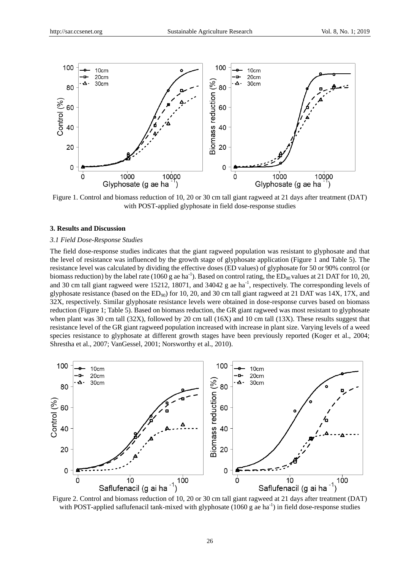

Figure 1. Control and biomass reduction of 10, 20 or 30 cm tall giant ragweed at 21 days after treatment (DAT) with POST-applied glyphosate in field dose-response studies

### **3. Results and Discussion**

## *3.1 Field Dose-Response Studies*

The field dose-response studies indicates that the giant ragweed population was resistant to glyphosate and that the level of resistance was influenced by the growth stage of glyphosate application (Figure 1 and Table 5). The resistance level was calculated by dividing the effective doses (ED values) of glyphosate for 50 or 90% control (or biomass reduction) by the label rate (1060 g ae ha<sup>-1</sup>). Based on control rating, the  $ED_{90}$  values at 21 DAT for 10, 20, and 30 cm tall giant ragweed were 15212, 18071, and 34042 g ae ha<sup>-1</sup>, respectively. The corresponding levels of glyphosate resistance (based on the  $ED_{90}$ ) for 10, 20, and 30 cm tall giant ragweed at 21 DAT was 14X, 17X, and 32X, respectively. Similar glyphosate resistance levels were obtained in dose-response curves based on biomass reduction (Figure 1; Table 5). Based on biomass reduction, the GR giant ragweed was most resistant to glyphosate when plant was 30 cm tall (32X), followed by 20 cm tall (16X) and 10 cm tall (13X). These results suggest that resistance level of the GR giant ragweed population increased with increase in plant size. Varying levels of a weed species resistance to glyphosate at different growth stages have been previously reported (Koger et al., 2004; Shrestha et al., 2007; VanGessel, 2001; Norsworthy et al., 2010).



Figure 2. Control and biomass reduction of 10, 20 or 30 cm tall giant ragweed at 21 days after treatment (DAT) with POST-applied saflufenacil tank-mixed with glyphosate  $(1060 \text{ g}$  ae ha<sup>-1</sup>) in field dose-response studies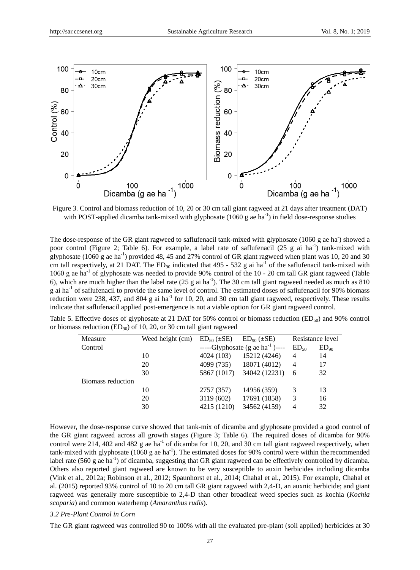

Figure 3. Control and biomass reduction of 10, 20 or 30 cm tall giant ragweed at 21 days after treatment (DAT) with POST-applied dicamba tank-mixed with glyphosate  $(1060 \text{ g}$  ae ha<sup>-1</sup>) in field dose-response studies

The dose-response of the GR giant ragweed to saflufenacil tank-mixed with glyphosate (1060 g ae ha) showed a poor control (Figure 2; Table 6). For example, a label rate of saflufenacil (25 g ai ha<sup>-1</sup>) tank-mixed with glyphosate (1060 g ae ha<sup>-1</sup>) provided 48, 45 and 27% control of GR giant ragweed when plant was 10, 20 and 30 cm tall respectively, at 21 DAT. The  $ED_{90}$  indicated that 495 - 532 g ai ha<sup>-1</sup> of the saflufenacil tank-mixed with 1060 g ae ha<sup>-1</sup> of glyphosate was needed to provide 90% control of the 10 - 20 cm tall GR giant ragweed (Table 6), which are much higher than the label rate  $(25 \text{ g ai ha}^{-1})$ . The 30 cm tall giant ragweed needed as much as 810 g ai ha<sup>-1</sup> of saflufenacil to provide the same level of control. The estimated doses of saflufenacil for 90% biomass reduction were 238, 437, and 804 g ai ha<sup>-1</sup> for 10, 20, and 30 cm tall giant ragweed, respectively. These results indicate that saflufenacil applied post-emergence is not a viable option for GR giant ragweed control.

|  | Table 5. Effective doses of glyphosate at 21 DAT for 50% control or biomass reduction (ED <sub>50</sub> ) and 90% control |  |  |  |  |
|--|---------------------------------------------------------------------------------------------------------------------------|--|--|--|--|
|  | or biomass reduction ( $ED_{90}$ ) of 10, 20, or 30 cm tall giant ragweed                                                 |  |  |  |  |

| Measure           | Weed height (cm) | $ED_{50}$ ( $\pm SE$ )<br>$ED_{90}$ ( $\pm SE$ ) |                                        | Resistance level |           |
|-------------------|------------------|--------------------------------------------------|----------------------------------------|------------------|-----------|
| Control           |                  |                                                  | ------Glyphosate (g ae $ha^{-1}$ )---- | $ED_{50}$        | $ED_{90}$ |
|                   | 10               | 4024 (103)                                       | 15212 (4246)                           | $\overline{4}$   | 14        |
|                   | 20               | 4099 (735)                                       | 18071 (4012)                           | $\overline{4}$   | 17        |
|                   | 30               | 5867 (1017)                                      | 34042 (12231)                          | 6                | 32        |
| Biomass reduction |                  |                                                  |                                        |                  |           |
|                   | 10               | 2757 (357)                                       | 14956 (359)                            | 3                | 13        |
|                   | 20               | 3119 (602)                                       | 17691 (1858)                           | 3                | 16        |
|                   | 30               | 4215 (1210)                                      | 34562 (4159)                           | 4                | 32        |

However, the dose-response curve showed that tank-mix of dicamba and glyphosate provided a good control of the GR giant ragweed across all growth stages (Figure 3; Table 6). The required doses of dicamba for 90% control were 214, 402 and 482 g ae ha<sup>-1</sup> of dicamba for 10, 20, and 30 cm tall giant ragweed respectively, when tank-mixed with glyphosate  $(1060 \text{ g}$  ae ha<sup>-1</sup>). The estimated doses for 90% control were within the recommended label rate (560 g ae ha<sup>-1</sup>) of dicamba, suggesting that GR giant ragweed can be effectively controlled by dicamba. Others also reported giant ragweed are known to be very susceptible to auxin herbicides including dicamba (Vink et al., 2012a; Robinson et al., 2012; Spaunhorst et al., 2014; Chahal et al., 2015). For example, Chahal et al. (2015) reported 93% control of 10 to 20 cm tall GR giant ragweed with 2,4-D, an auxnic herbicide; and giant ragweed was generally more susceptible to 2,4-D than other broadleaf weed species such as kochia (*Kochia scoparia*) and common waterhemp (*Amaranthus rudis*).

#### *3.2 Pre-Plant Control in Corn*

The GR giant ragweed was controlled 90 to 100% with all the evaluated pre-plant (soil applied) herbicides at 30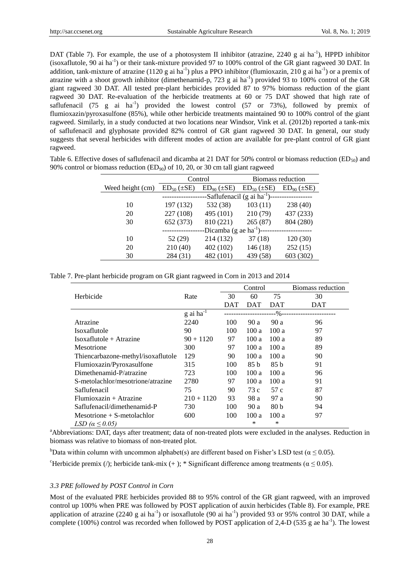DAT (Table 7). For example, the use of a photosystem II inhibitor (atrazine, 2240 g ai ha<sup>-1</sup>), HPPD inhibitor (isoxaflutole, 90 ai ha<sup>-1</sup>) or their tank-mixture provided 97 to 100% control of the GR giant ragweed 30 DAT. In addition, tank-mixture of atrazine (1120 g ai ha<sup>-1</sup>) plus a PPO inhibitor (flumioxazin, 210 g ai ha<sup>-1</sup>) or a premix of atrazine with a shoot growth inhibitor (dimethenamid-p, 723 g ai  $ha^{-1}$ ) provided 93 to 100% control of the GR giant ragweed 30 DAT. All tested pre-plant herbicides provided 87 to 97% biomass reduction of the giant ragweed 30 DAT. Re-evaluation of the herbicide treatments at 60 or 75 DAT showed that high rate of saflufenacil (75 g ai  $\text{ha}^{-1}$ ) provided the lowest control (57 or 73%), followed by premix of flumioxazin/pyroxasulfone (85%), while other herbicide treatments maintained 90 to 100% control of the giant ragweed. Similarly, in a study conducted at two locations near Windsor, Vink et al. (2012b) reported a tank-mix of saflufenacil and glyphosate provided 82% control of GR giant ragweed 30 DAT. In general, our study suggests that several herbicides with different modes of action are available for pre-plant control of GR giant ragweed.

Table 6. Effective doses of saflufenacil and dicamba at 21 DAT for 50% control or biomass reduction (ED<sub>50</sub>) and 90% control or biomass reduction  $(ED_{90})$  of 10, 20, or 30 cm tall giant ragweed

|                  | Control                                 |                        |                       | Biomass reduction  |  |  |
|------------------|-----------------------------------------|------------------------|-----------------------|--------------------|--|--|
| Weed height (cm) | $ED_{50}$ ( $\pm SE$ )                  | $ED_{90}$ ( $\pm SE$ ) | $ED_{50}$ ( $\pm$ SE) | $ED_{90} (\pm SE)$ |  |  |
|                  | -Saflufenacil (g ai ha <sup>-1</sup> )- |                        |                       |                    |  |  |
| 10               | 197 (132)                               | 532 (38)               | 103(11)               | 238 (40)           |  |  |
| 20               | 227 (108)                               | 495 (101)              | 210(79)               | 437 (233)          |  |  |
| 30               | 652 (373)                               | 810 (221)              | 265(87)               | 804 (280)          |  |  |
|                  | -Dicamba (g ae $ha^{-1}$ )---           |                        |                       |                    |  |  |
| 10               | 52 (29)                                 | 214 (132)              | 37(18)                | 120(30)            |  |  |
| 20               | 210(40)                                 | 402 (102)              | 146(18)               | 252(15)            |  |  |
| 30               | 284 (31)                                | 482 (101)              | 439 (58)              | 603 (302)          |  |  |

| Table 7. Pre-plant herbicide program on GR giant ragweed in Corn in 2013 and 2014 |  |  |  |  |
|-----------------------------------------------------------------------------------|--|--|--|--|
|-----------------------------------------------------------------------------------|--|--|--|--|

|                                    |                         |            | Control |                 | Biomass reduction |
|------------------------------------|-------------------------|------------|---------|-----------------|-------------------|
| Herbicide                          | Rate                    | 30         | 60      | 75              | 30                |
|                                    |                         | <b>DAT</b> | DAT     | <b>DAT</b>      | DAT               |
|                                    | $g$ ai ha <sup>-1</sup> |            |         | -%--            |                   |
| Atrazine                           | 2240                    | 100        | 90 a    | 90 a            | 96                |
| Isoxaflutole                       | 90                      | 100        | 100a    | 100a            | 97                |
| $Isoxaflutole + Atrazine$          | $90 + 1120$             | 97         | 100a    | 100a            | 89                |
| Mesotrione                         | 300                     | 97         | 100a    | 100a            | 89                |
| Thiencarbazone-methyl/isoxaflutole | 129                     | 90         | 100a    | 100a            | 90                |
| Flumioxazin/Pyroxasulfone          | 315                     | 100        | 85 b    | 85 b            | 91                |
| Dimethenamid-P/atrazine            | 723                     | 100        | 100a    | 100a            | 96                |
| S-metolachlor/mesotrione/atrazine  | 2780                    | 97         | 100 a   | 100a            | 91                |
| Saflufenacil                       | 75                      | 90         | 73 c    | 57 c            | 87                |
| $Flumioxazin + Atrazine$           | $210 + 1120$            | 93         | 98 a    | 97 a            | 90                |
| Saflufenacil/dimethenamid-P        | 730                     | 100        | 90 a    | 80 <sub>b</sub> | 94                |
| $Mesotrione + S-metolachlor$       | 600                     | 100        | 100 a   | 100a            | 97                |
| LSD ( $\alpha \leq 0.05$ )         |                         |            | *       | ∗               |                   |

<sup>a</sup>Abbreviations: DAT, days after treatment; data of non-treated plots were excluded in the analyses. Reduction in biomass was relative to biomass of non-treated plot.

bData within column with uncommon alphabet(s) are different based on Fisher's LSD test ( $\alpha \le 0.05$ ).

<sup>c</sup>Herbicide premix (/); herbicide tank-mix (+); \* Significant difference among treatments ( $\alpha \le 0.05$ ).

## *3.3 PRE followed by POST Control in Corn*

Most of the evaluated PRE herbicides provided 88 to 95% control of the GR giant ragweed, with an improved control up 100% when PRE was followed by POST application of auxin herbicides (Table 8). For example, PRE application of atrazine (2240 g ai ha<sup>-1</sup>) or isoxaflutole (90 ai ha<sup>-1</sup>) provided 93 or 95% control 30 DAT, while a complete (100%) control was recorded when followed by POST application of 2,4-D (535 g ae ha<sup>-1</sup>). The lowest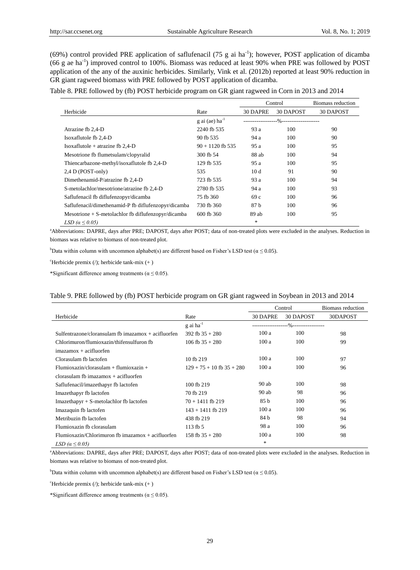$(69%)$  control provided PRE application of saflufenacil (75 g ai ha<sup>-1</sup>); however, POST application of dicamba  $(66 g$  ae ha<sup>-1</sup>) improved control to 100%. Biomass was reduced at least 90% when PRE was followed by POST application of the any of the auxinic herbicides. Similarly, Vink et al. (2012b) reported at least 90% reduction in GR giant ragweed biomass with PRE followed by POST application of dicamba.

|  |  | Table 8. PRE followed by (fb) POST herbicide program on GR giant ragweed in Corn in 2013 and 2014 |
|--|--|---------------------------------------------------------------------------------------------------|
|--|--|---------------------------------------------------------------------------------------------------|

|                                                       |                              | Control  |           | Biomass reduction |
|-------------------------------------------------------|------------------------------|----------|-----------|-------------------|
| Herbicide                                             | Rate                         | 30 DAPRE | 30 DAPOST | 30 DAPOST         |
|                                                       | $g$ ai (ae) ha <sup>-1</sup> |          |           |                   |
| Atrazine fb 2,4-D                                     | 2240 fb 535                  | 93 a     | 100       | 90                |
| Isoxaflutole fb 2,4-D                                 | 90 fb 535                    | 94 a     | 100       | 90                |
| Isoxaflutole + atrazine fb $2,4$ -D                   | $90 + 1120$ fb 535           | 95 a     | 100       | 95                |
| Mesotrione fb flumetsulam/clopyralid                  | 300 fb 54                    | 88 ab    | 100       | 94                |
| Thiencarbazone-methyl/isoxaflutole fb 2,4-D           | 129 fb 535                   | 95 a     | 100       | 95                |
| $2,4$ D (POST-only)                                   | 535                          | 10d      | 91        | 90                |
| Dimethenamid-P/atrazine fb 2,4-D                      | 723 fb 535                   | 93 a     | 100       | 94                |
| S-metolachlor/mesotrione/atrazine fb 2,4-D            | 2780 fb 535                  | 94 a     | 100       | 93                |
| Saflufenacil fb diflufenzopyr/dicamba                 | 75 fb 360                    | 69c      | 100       | 96                |
| Saflufenacil/dimethenamid-P fb diflufenzopyr/dicamba  | 730 fb 360                   | 87 b     | 100       | 96                |
| Mesotrione $+$ S-metolachlor fb diflufenzopyr/dicamba | 600 fb 360                   | 89 ab    | 100       | 95                |
| LSD $(\alpha \leq 0.05)$                              |                              | *        |           |                   |

<sup>a</sup>Abbreviations: DAPRE, days after PRE; DAPOST, days after POST; data of non-treated plots were excluded in the analyses. Reduction in biomass was relative to biomass of non-treated plot.

bData within column with uncommon alphabet(s) are different based on Fisher's LSD test ( $\alpha \le 0.05$ ).

 ${}^{\circ}$ Herbicide premix (/); herbicide tank-mix (+)

\*Significant difference among treatments ( $\alpha \le 0.05$ ).

## Table 9. PRE followed by (fb) POST herbicide program on GR giant ragweed in Soybean in 2013 and 2014

|                                                       |                               | Control                                |           | Biomass reduction |
|-------------------------------------------------------|-------------------------------|----------------------------------------|-----------|-------------------|
| Herbicide                                             | Rate                          | 30 DAPRE                               | 30 DAPOST | 30DAPOST          |
|                                                       | $g$ ai ha <sup>-1</sup>       | --------------------%----------------- |           |                   |
| Sulfentrazone/cloransulam fb imazamox $+$ acifluorfen | 392 fb $35 + 280$             | 100a                                   | 100       | 98                |
| Chlorimuron/flumioxazin/thifensulfuron fb             | 106 fb $35 + 280$             | 100a                                   | 100       | 99                |
| $imazamos + acifluorfen$                              |                               |                                        |           |                   |
| Clorasulam fb lactofen                                | 10 fb 219                     | 100a                                   | 100       | 97                |
| $Flumioxazin/clorasulam + flumioxazin +$              | $129 + 75 + 10$ fb $35 + 280$ | 100a                                   | 100       | 96                |
| $\alpha$ clorasulam fb imazamox + acifluorfen         |                               |                                        |           |                   |
| Saflufenacil/imazethapyr fb lactofen                  | 100 fb 219                    | $90$ ab                                | 100       | 98                |
| Imazethapyr fb lactofen                               | 70 fb 219                     | $90$ ab                                | 98        | 96                |
| $Imaxethapyr + S-metolachlor fb$ lactofen             | $70 + 1411$ fb 219            | 85 b                                   | 100       | 96                |
| Imazaquin fb lactofen                                 | $143 + 1411$ fb 219           | 100a                                   | 100       | 96                |
| Metribuzin fb lactofen                                | 438 fb 219                    | 84 b                                   | 98        | 94                |
| Flumioxazin fb clorasulam                             | 113fb5                        | 98 a                                   | 100       | 96                |
| $Flumioxazin/Chlorimuron fb$ imazamox $+$ acifluorfen | 158 fb $35 + 280$             | 100a                                   | 100       | 98                |
| LSD $(\alpha \leq 0.05)$                              |                               | $\ast$                                 |           |                   |

<sup>a</sup>Abbreviations: DAPRE, days after PRE; DAPOST, days after POST; data of non-treated plots were excluded in the analyses. Reduction in biomass was relative to biomass of non-treated plot.

<sup>b</sup>Data within column with uncommon alphabet(s) are different based on Fisher's LSD test ( $\alpha \le 0.05$ ).

 $c$ Herbicide premix (/); herbicide tank-mix (+)

\*Significant difference among treatments ( $\alpha \le 0.05$ ).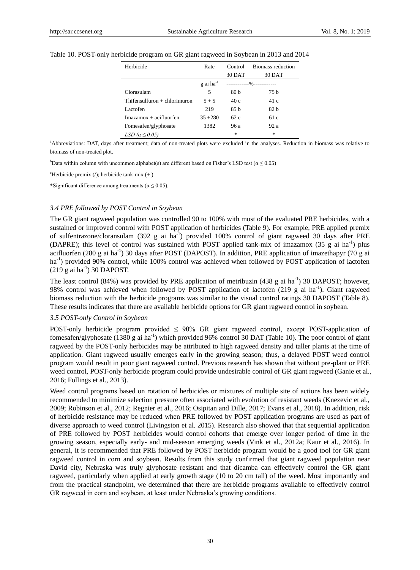| Herbicide                      | Rate                    | Control                     | Biomass reduction |
|--------------------------------|-------------------------|-----------------------------|-------------------|
|                                |                         | 30 DAT                      | 30 DAT            |
|                                | $g$ ai ha <sup>-1</sup> | -------------%------------- |                   |
| Clorasulam                     | 5                       | 80 <sub>b</sub>             | 75 b              |
| Thifensulfuron $+$ chlorimuron | $5 + 5$                 | 40c                         | 41 c              |
| Lactofen                       | 219                     | 85h                         | 82 <sub>b</sub>   |
| $Imazamox + acifluorfen$       | $35 + 280$              | 62c                         | 61c               |
| Fomesafen/glyphosate           | 1382                    | 96 a                        | 92a               |
| LSD $(\alpha \leq 0.05)$       |                         | 永                           | $\frac{1}{20}$    |

# Table 10. POST-only herbicide program on GR giant ragweed in Soybean in 2013 and 2014

aAbbreviations: DAT, days after treatment; data of non-treated plots were excluded in the analyses. Reduction in biomass was relative to biomass of non-treated plot.

bData within column with uncommon alphabet(s) are different based on Fisher's LSD test ( $\alpha \le 0.05$ )

 ${}^{\circ}$ Herbicide premix (/); herbicide tank-mix (+)

\*Significant difference among treatments ( $\alpha \le 0.05$ ).

## *3.4 PRE followed by POST Control in Soybean*

The GR giant ragweed population was controlled 90 to 100% with most of the evaluated PRE herbicides, with a sustained or improved control with POST application of herbicides (Table 9). For example, PRE applied premix of sulfentrazone/cloransulam (392 g ai ha<sup>-1</sup>) provided 100% control of giant ragweed 30 days after PRE (DAPRE); this level of control was sustained with POST applied tank-mix of imazamox (35 g ai ha<sup>-1</sup>) plus acifluorfen (280 g ai ha<sup>-1</sup>) 30 days after POST (DAPOST). In addition, PRE application of imazethapyr (70 g ai ha<sup>-1</sup>) provided 90% control, while 100% control was achieved when followed by POST application of lactofen  $(219 \text{ g ai ha}^{-1})$  30 DAPOST.

The least control (84%) was provided by PRE application of metribuzin (438 g ai ha<sup>-1</sup>) 30 DAPOST; however, 98% control was achieved when followed by POST application of lactofen (219 g ai ha<sup>-1</sup>). Giant ragweed biomass reduction with the herbicide programs was similar to the visual control ratings 30 DAPOST (Table 8). These results indicates that there are available herbicide options for GR giant ragweed control in soybean.

## *3.5 POST-only Control in Soybean*

POST-only herbicide program provided ≤ 90% GR giant ragweed control, except POST-application of fomesafen/glyphosate (1380 g ai ha<sup>-1</sup>) which provided 96% control 30 DAT (Table 10). The poor control of giant ragweed by the POST-only herbicides may be attributed to high ragweed density and taller plants at the time of application. Giant ragweed usually emerges early in the growing season; thus, a delayed POST weed control program would result in poor giant ragweed control. Previous research has shown that without pre-plant or PRE weed control, POST-only herbicide program could provide undesirable control of GR giant ragweed (Ganie et al., 2016; Follings et al., 2013).

Weed control programs based on rotation of herbicides or mixtures of multiple site of actions has been widely recommended to minimize selection pressure often associated with evolution of resistant weeds (Knezevic et al., 2009; Robinson et al., 2012; Regnier et al., 2016; Osipitan and Dille, 2017; Evans et al., 2018). In addition, risk of herbicide resistance may be reduced when PRE followed by POST application programs are used as part of diverse approach to weed control (Livingston et al. 2015). Research also showed that that sequential application of PRE followed by POST herbicides would control cohorts that emerge over longer period of time in the growing season, especially early- and mid-season emerging weeds (Vink et al., 2012a; Kaur et al., 2016). In general, it is recommended that PRE followed by POST herbicide program would be a good tool for GR giant ragweed control in corn and soybean. Results from this study confirmed that giant ragweed population near David city, Nebraska was truly glyphosate resistant and that dicamba can effectively control the GR giant ragweed, particularly when applied at early growth stage (10 to 20 cm tall) of the weed. Most importantly and from the practical standpoint, we determined that there are herbicide programs available to effectively control GR ragweed in corn and soybean, at least under Nebraska's growing conditions.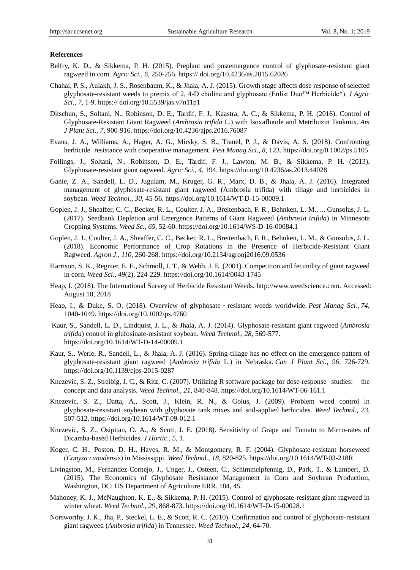## **References**

- Belfry, K. D., & Sikkema, P. H. (2015). Preplant and postemergence control of glyphosate-resistant giant ragweed in corn. *Agric Sci.*, *6,* 250-256. https:// doi.org/10.4236/as.2015.62026
- Chahal, P. S., Aulakh, J. S., Rosenbaum, K., & Jhala, A. J. (2015). Growth stage affects dose response of selected glyphosate-resistant weeds to premix of 2, 4-D choline and glyphosate (Enlist Duo™ Herbicide\*). *J Agric Sci.*, *7,* 1-9. https:// doi.org/10.5539/jas.v7n11p1
- Ditschun, S., Soltani, N., Robinson, D. E., Tardif, F. J., Kaastra, A. C., & Sikkema, P. H. (2016). Control of Glyphosate-Resistant Giant Ragweed (*Ambrosia trifida* L.) with Isoxaflutole and Metribuzin Tankmix. *Am J Plant Sci.*, *7*, 900-916. https://doi.org/10.4236/ajps.2016.76087
- Evans, J. A., Williams, A., Hager, A. G., Mirsky, S. B., Tranel, P. J., & Davis, A. S. (2018). Confronting herbicide resistance with cooperative management. *Pest Manag Sci., 8,* 123. https://doi.org/0.1002/ps.5105
- Follings, J., Soltani, N., Robinson, D. E., Tardif, F. J., Lawton, M. B., & Sikkema, P. H. (2013). Glyphosate-resistant giant ragweed. *Agric Sci., 4,* 194. https://doi.org/10.4236/as.2013.44028
- Ganie, Z. A., Sandell, L. D., Jugulam, M., Kruger, G. R., Marx, D. B., & Jhala, A. J. (2016). Integrated management of glyphosate-resistant giant ragweed (Ambrosia trifida) with tillage and herbicides in soybean. *Weed Technol., 30*, 45-56. https://doi.org/10.1614/WT-D-15-00089.1
- Goplen, J. J., Sheaffer, C. C., Becker, R. L., Coulter, J. A., Breitenbach, F. R., Behnken, L. M., ... Gunsolus, J. L. (2017). Seedbank Depletion and Emergence Patterns of Giant Ragweed (*Ambrosia trifida*) in Minnesota Cropping Systems. *Weed Sc., 65*, 52-60. https://doi.org/10.1614/WS-D-16-00084.1
- Goplen, J. J., Coulter, J. A., Sheaffer, C. C., Becker, R. L., Breitenbach, F. R., Behnken, L. M., & Gunsolus, J. L. (2018). Economic Performance of Crop Rotations in the Presence of Herbicide-Resistant Giant Ragweed. *Agron J.*, *110*, 260-268. https://doi.org/10.2134/agronj2016.09.0536
- Harrison, S. K., Regnier, E. E., Schmoll, J. T., & Webb, J. E. (2001). Competition and fecundity of giant ragweed in corn. *Weed Sci.*, *49*(2), 224-229. https://doi.org/10.1614/0043-1745
- Heap, I. (2018). The International Survey of Herbicide Resistant Weeds. http://www.weedscience.com. Accessed: August 10, 2018
- Heap, I., & Duke, S. O. (2018). Overview of glyphosate‐resistant weeds worldwide. *Pest Manag Sci., 74*, 1040-1049. https://doi.org/10.1002/ps.4760
- Kaur, S., Sandell, L. D., Lindquist, J. L., & Jhala, A. J. (2014). Glyphosate-resistant giant ragweed (*Ambrosia trifida*) control in glufosinate-resistant soybean. *Weed Technol., 28*, 569-577. https://doi.org/10.1614/WT-D-14-00009.1
- Kaur, S., Werle, R., Sandell, L., & Jhala, A. J. (2016). Spring-tillage has no effect on the emergence pattern of glyphosate-resistant giant ragweed (*Ambrosia trifida* L.) in Nebraska. *Can J Plant Sci., 96*, 726-729. https://doi.org/10.1139/cjps-2015-0287
- Knezevic, S. Z., Streibig, J. C., & Ritz, C. (2007). Utilizing R software package for dose-response studies: the concept and data analysis. *Weed Technol., 21*, 840-848. https://doi.org/10.1614/WT-06-161.1
- Knezevic, S. Z., Datta, A., Scott, J., Klein, R. N., & Golus, J. (2009). Problem weed control in glyphosate-resistant soybean with glyphosate tank mixes and soil-applied herbicides. *Weed Technol., 23*, 507-512. https://doi.org/10.1614/WT-09-012.1
- Knezevic, S. Z., Osipitan, O. A., & Scott, J. E. (2018). Sensitivity of Grape and Tomato to Micro-rates of Dicamba-based Herbicides. *J Hortic*., *5*, 1.
- Koger, C. H., Poston, D. H., Hayes, R. M., & Montgomery, R. F. (2004). Glyphosate-resistant horseweed (*Conyza canadensis*) in Mississippi. *Weed Technol., 18*, 820-825. https://doi.org/10.1614/WT-03-218R
- Livingston, M., Fernandez-Cornejo, J., Unger, J., Osteen, C., Schimmelpfennig, D., Park, T., & Lambert, D. (2015). The Economics of Glyphosate Resistance Management in Corn and Soybean Production, Washington, DC: US Department of Agriculture ERR. 184, 45.
- Mahoney, K. J., McNaughton, K. E., & Sikkema, P. H. (2015). Control of glyphosate-resistant giant ragweed in winter wheat. *Weed Technol.*, *29*, 868-873. https://doi.org/10.1614/WT-D-15-00028.1
- Norsworthy, J. K., Jha, P., Steckel, L. E., & Scott, R. C. (2010). Confirmation and control of glyphosate-resistant giant ragweed (*Ambrosia trifida*) in Tennessee. *Weed Technol., 24*, 64-70.